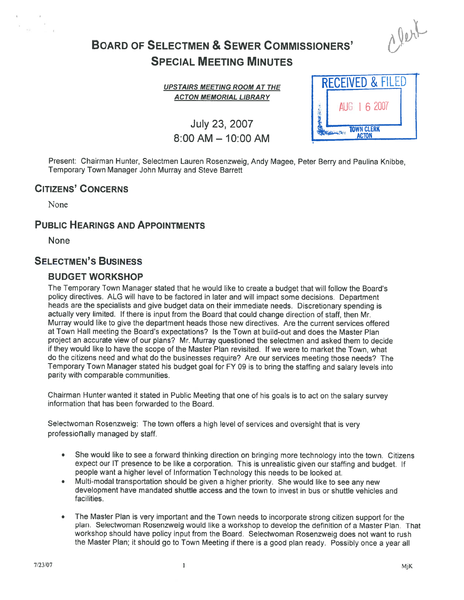# BOARD OF SELECTMEN & SEWER COMMISSIONERS' SPECIAL MEETING MINUTES

UPSTAIRS MEETING ROOM AT THE ACTON MEMORIAL LIBRARY

July 23, 2007  $8:00$  AM  $-$  10:00 AM

| <b>RECEIVED &amp; FILED</b>       |              |
|-----------------------------------|--------------|
|                                   | AUG 1 6 2007 |
| <b>TOWN CLERK</b><br><b>ACTON</b> |              |

alert

Present: Chairman Hunter, Selectmen Lauren Rosenzweig, Andy Magee, Peter Berry and Paulina Knibbe, Temporary Town Manager John Murray and Steve Barrett

# CITIZENS' CONCERNS

None

 $\frac{1}{12}$ 

# PUBLIC HEARINGS AND APPOINTMENTS

None

# SELECTMEN'S BUSINESS

### BUDGET WORKSHOP

The Temporary Town Manager stated that he would like to create <sup>a</sup> budget that will follow the Board's policy directives. ALG will have to be factored in later and will impact some decisions. Department heads are the specialists and <sup>g</sup>ive budget data on their immediate needs. Discretionary spending is actually very limited. If there is input from the Board that could change direction of staff, then Mr. Murray would like to give the department heads those new directives. Are the current services offered at Town Hall meeting the Board's expectations? Is the Town at build-out and does the Master Plan project an accurate view of our plans? Mr. Murray questioned the selectmen and asked them to decide if they would like to have the scope of the Master Plan revisited. If we were to market the Town, what do the citizens need and what do the businesses require? Are our services meeting those needs? The Temporary Town Manager stated his budget goa<sup>l</sup> for FY 09 is to bring the staffing and salary levels into parity with comparable communities.

Chairman Hunter wanted it stated in Public Meeting that one of his goals is to act on the salary survey information that has been forwarded to the Board.

Selectwoman Rosenzweig: The town offers <sup>a</sup> high level of services and oversight that is very professionally managed by staff.

- •She would like to see a forward thinking direction on bringing more technology into the town. Citizens expec<sup>t</sup> our IT presence to be like <sup>a</sup> corporation. This is unrealistic <sup>g</sup>iven our staffing and budget. If people want <sup>a</sup> higher level of Information Technology this needs to be looked at.
- • Multi-modal transportation should be <sup>g</sup>iven <sup>a</sup> higher priority. She would like to see any new development have mandated shuttle access and the town to invest in bus or shuttle vehicles and facilities.
- • The Master Plan is very important and the Town needs to incorporate strong citizen suppor<sup>t</sup> for the <sup>p</sup>lan. Selectwoman Rosenzweig would like <sup>a</sup> workshop to develop the definition of <sup>a</sup> Master Plan. That workshop should have policy input from the Board. Selectwoman Rosenzweig does not want to rush the Master Plan; it should go to Town Meeting if there is <sup>a</sup> goo<sup>d</sup> <sup>p</sup>lan ready. Possibly once <sup>a</sup> year all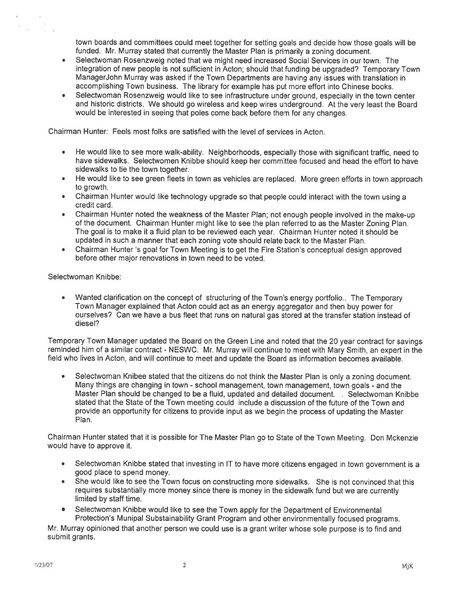town boards and committees could meet together for setting goals and decide how those goals will be funded. Mr. Murray stated that currently the Master Plan is primarily <sup>a</sup> zoning document.

- • Selectwoman Rosenzweig noted that we might need increased Social Services in our town. The integration of new people is not sufficient in Acton; should that funding be upgraded? Temporary Town ManagerJohn Murray was asked if the Town Departments are having any issues with translation in accomplishing Town business. The library for example has pu<sup>t</sup> more effort into Chinese books.
- • Selectwoman Rosenzweig would like to see infrastructure under ground, especially in the town center and historic districts. We should go wireless and keep wires underground. At the very least the Board would be interested in seeing that poles come back before them for any changes.

Chairman Hunter: Feels most folks are satisfied with the level of services in Acton.

- • He would like to see more walk-ability. Neighborhoods, especially those with significant traffic, need to have sidewalks. Selectwomen Knibbe should keep her committee focused and head the effort to have sidewalks to tie the town together.
- He would like to see green fleets in town as vehicles are replaced. More green efforts in town approach to growth.
- • Chairman Hunter would like technology upgrade so that people could interact with the town using <sup>a</sup> credit card.
- • Chairman Hunter noted the weakness of the Master Plan; not enough people involved in the make-up of the document. Chairman Hunter might like to see the <sup>p</sup>lan referred to as the Master Zoning Plan. The goal is to make it <sup>a</sup> fluid plan to be reviewed each year. Chairman Hunter noted it should be updated in such <sup>a</sup> manner that each zoning vote should relate back to the Master Plan.
- Chairman Hunter 's goal for Town Meeting is to get the Fire Station's conceptual design approved before other major renovations in town need to be voted.

Selectwoman Knibbe:

 $\overline{K}$  .

• Wanted clarification on the concep<sup>t</sup> of structuring of the Town's energy portfolio.. The Temporary Town Manager explained that Acton could act as an energy aggregator and then buy power for ourselves? Can we have <sup>a</sup> bus fleet that runs on natural gas stored at the transfer station instead of diesel?

Temporary Town Manager updated the Board on the Green Line and noted that the <sup>20</sup> year contract for savings reminded him of <sup>a</sup> similar contract - NESWC. Mr. Murray will continue to meet with Mary Smith, an exper<sup>t</sup> in the field who lives in Acton, and will continue to meet and update the Board as information becomes available.

• Selectwoman Knibee stated that the citizens do not think the Master Plan is only <sup>a</sup> zoning document. Many things are changing in town -school management, town management, town goals - and the Master Plan should be changed to be <sup>a</sup> fluid, updated and detailed document. . Selectwoman Knibbe stated that the State of the Town meeting could include <sup>a</sup> discussion of the future of the Town and provide an opportunity for citizens to provide input as we begin the process of updating the Master Plan.

Chairman Hunter stated that it is possible for The Master Plan go to State of the Town Meeting. Don Mckenzie would have to approve it.

- • Selectwoman Knibbe stated that investing in IT to have more citizens engaged in town governmen<sup>t</sup> is <sup>a</sup> good place to spend money.
- • She would like to see the Town focus on constructing more sidewalks. She is not convinced that this requires substantially more money since there is money in the sidewalk fund but we are currently limited by staff time.
- Selectwoman Knibbe would like to see the Town apply for the Department of Environmental Protection's Munipal Substainability Grant Program and other environmentally focused programs.

Mr. Murray opinioned that another person we could use is a grant writer whose sole purpose is to find and submit grants.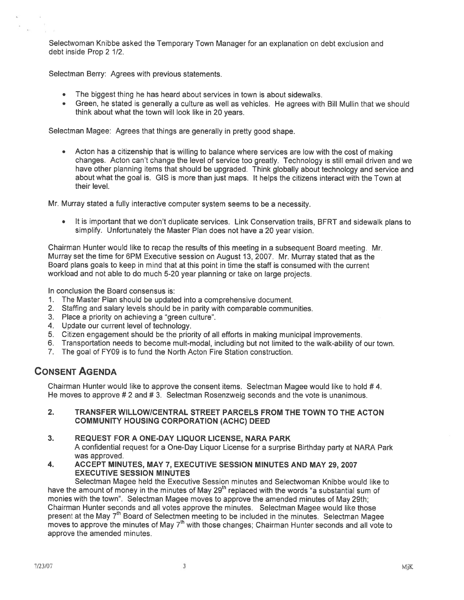Selectwoman Knibbe asked the Temporary Town Manager for an explanation on debt exclusion and debt inside Prop 2 1/2.

Selectman Berry: Agrees with previous statements.

- •The biggest thing he has heard about services in town is about sidewalks.
- Green, he stated is generally <sup>a</sup> culture as well as vehicles. He agrees with Bill Mullin that we should think about what the town will look like in 20 years.

Selectman Magee: Agrees that things are generally in pretty good shape.

• Acton has <sup>a</sup> citizenship that is willing to balance where services are low with the cost of making changes. Acton can't change the level of service too greatly. Technology is still email driven and we have other <sup>p</sup>lanning items that should be upgraded. Think <sup>g</sup>lobally about technology and service and about what the goa<sup>l</sup> is. GIS is more than just maps. It helps the citizens interact with the Town at their level.

Mr. Murray stated <sup>a</sup> fully interactive computer system seems to be <sup>a</sup> necessity.

 It is important that we don't duplicate services. Link Conservation trails, BERT and sidewalk <sup>p</sup>lans to simplify. Unfortunately the Master Plan does not have <sup>a</sup> 20 year vision.

Chairman Hunter would like to recap the results of this meeting in <sup>a</sup> subsequent Board meeting. Mr. Murray set the time for 6PM Executive session on August 13, 2007. Mr. Murray stated that as the Board plans goals to keep in mind that at this point in time the staff is consumed with the current workload and not able to do much 5-20 year <sup>p</sup>lanning or take on large projects.

In conclusion the Board consensus is:

- 1. The Master Plan should be updated into <sup>a</sup> comprehensive document.
- 2. Staffing and salary levels should be in parity with comparable communities.
- 3. Place <sup>a</sup> priority on achieving <sup>a</sup> "green culture".
- 4. Update our current level of technology.
- 5. Citizen engagemen<sup>t</sup> should be the priority of all efforts in making municipal improvements.
- 6. Transportation needs to become mult-modal, including but not limited to the walk-ability of our town.
- 7. The goal of FY09 is to fund the North Acton Fire Station construction.

# CONSENT AGENDA

Chairman Hunter would like to approve the consent items. Selectman Magee would like to hold # 4. He moves to approve # 2 and # 3. Selectman Rosenzweig seconds and the vote is unanimous.

#### 2. TRANSFER WILLOWICENTRAL STREET PARCELS FROM THE TOWN TO THE ACTON COMMUNITY HOUSING CORPORATION (ACHC) DEED

### 3. REQUEST FOR A ONE-DAY LIQUOR LICENSE, NARA PARK

A confidential reques<sup>t</sup> for <sup>a</sup> One-Day Liquor License for <sup>a</sup> surprise Birthday party at NARA Park was approved.

4. ACCEPT MINUTES, MAY 7, EXECUTIVE SESSION MINUTES AND MAY 29, 2007 EXECUTIVE SESSION MINUTES

Selectman Magee held the Executive Session minutes and Selectwoman Knibbe would like to have the amount of money in the minutes of May 29<sup>th</sup> replaced with the words "a substantial sum of monies with the town". Selectman Magee moves to approve the amended minutes of May 29th; Chairman Hunter seconds and all votes approve the minutes. Selectman Magee would like those present at the May 7<sup>th</sup> Board of Selectmen meeting to be included in the minutes. Selectman Magee moves to approve the minutes of May 7<sup>th</sup> with those changes; Chairman Hunter seconds and all vote to approve the amended minutes.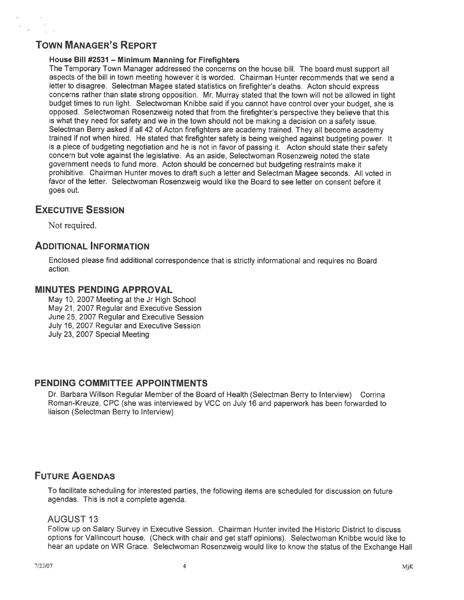# TOWN MANAGER'S REPORT

### House Bill #2531 — Minimum Manning for Firefighters

The Temporary Town Manager addressed the concerns on the house bill. The board must suppor<sup>t</sup> all aspects of the bill in town meeting however it is worded. Chairman Hunter recommends that we send <sup>a</sup> letter to disagree. Selectman Magee stated statistics on firefighter's deaths. Acton should express concerns rather than state strong opposition. Mr. Murray stated that the town will not be allowed in tight budget times to run light. Selectwoman Knibbe said if you cannot have control over your budget, she is opposed. Selectwoman Rosenzweig noted that from the firefighter's perspective they believe that this is what they need for safety and we in the town should not be making <sup>a</sup> decision on <sup>a</sup> safety issue. Selectman Berry asked if all <sup>42</sup> of Acton firefighters are academy trained. They all become academy trained if not when hired. He stated that firefighter safety is being weighed against budgeting power. It is <sup>a</sup> <sup>p</sup>iece of budgeting negotiation and he is not in favor of passing it. Acton should state their safety concern but vote against the legislative. As an aside, Selectwoman Rosenzweig noted the state governmen<sup>t</sup> needs to fund more. Acton should be concerned but budgeting restraints make it prohibitive. Chairman Hunter moves to draft such <sup>a</sup> letter and Selectman Magee seconds. All voted in favor of the letter. Selectwoman Rosenzweig would like the Board to see letter on consent before it goes out.

# EXECUTIVE SESSION

Not required.

# ADDITIONAL INFORMATION

Enclosed please find additional correspondence that is strictly informational and requires no Board action.

### MINUTES PENDING APPROVAL

May 10, 2007 Meeting at the Jr High School May 21, 2007 Regular and Executive Session June 25, 2007 Regular and Executive Session July 16, 2007 Regular and Executive Session July 23, 2007 Special Meeting

### PENDING COMMITTEE APPOINTMENTS

Dr. Barbara Wilison Regular Member of the Board of Health (Selectman Berry to Interview) Corrina Roman-Kreuze, CPC (she was interviewed by VCC on July 16 and paperwork has been forwarded to liaison (Selectman Berry to Interview)

# FUTURE AGENDAS

To facilitate scheduling for interested parties, the following items are scheduled for discussion on future agendas. This is not <sup>a</sup> complete agenda.

### **AUGUST 13**

Follow up on Salary Survey in Executive Session. Chairman Hunter invited the Historic District to discuss options for Vallincourt house. (Check with chair and ge<sup>t</sup> staff opinions). Selectwoman Knibbe would like to hear an update on WR Grace. Selectwoman Rosenzweig would like to know the status of the Exchange Hall